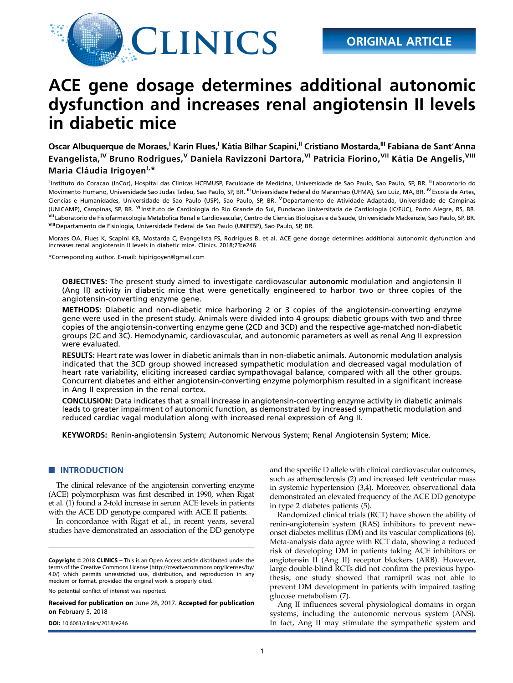

# ACE gene dosage determines additional autonomic dysfunction and increases renal angiotensin II levels in diabetic mice

Oscar Albuquerque de Moraes,<sup>I</sup> Karin Flues,<sup>I</sup> Kátia Bilhar Scapini,<sup>II</sup> Cristiano Mostarda,<sup>III</sup> Fabiana de Sant'Anna Evangelista,<sup>IV</sup> Bruno Rodrigues,<sup>V</sup> Daniela Ravizzoni Dartora,<sup>VI</sup> Patricia Fiorino,<sup>VII</sup> Kátia De Angelis,<sup>VIII</sup> Maria Cláudia Irigoven<sup>I,\*</sup>

Instituto do Coracao (InCor), Hospital das Clinicas HCFMUSP, Faculdade de Medicina, Universidade de Sao Paulo, Sao Paulo, SP, BR. "Laboratorio do Movimento Humano, Universidade Sao Judas Tadeu, Sao Paulo, SP, BR. <sup>III</sup> Universidade Federal do Maranhao (UFMA), Sao Luiz, MA, BR. <sup>IV</sup> Escola de Artes, Ciencias e Humanidades, Universidade de Sao Paulo (USP), Sao Paulo, SP, BR. <sup>V</sup> Departamento de Atividade Adaptada, Universidade de Campinas (UNICAMP), Campinas, SP, BR. VI Instituto de Cardiologia do Rio Grande do Sul, Fundacao Universitaria de Cardiologia (IC/FUC), Porto Alegre, RS, BR. VII Laboratorio de Fisiofarmacologia Metabolica Renal e Cardiovascular, Centro de Ciencias Biologicas e da Saude, Universidade Mackenzie, Sao Paulo, SP, BR. VIIIDepartamento de Fisiologia, Universidade Federal de Sao Paulo (UNIFESP), Sao Paulo, SP, BR.

Moraes OA, Flues K, Scapini KB, Mostarda C, Evangelista FS, Rodrigues B, et al. ACE gene dosage determines additional autonomic dysfunction and increases renal angiotensin II levels in diabetic mice. Clinics. 2018;73:e246

\*Corresponding author. E-mail: [hipirigoyen@gmail.com](mailto:hipirigoyen@gmail.com)

OBJECTIVES: The present study aimed to investigate cardiovascular autonomic modulation and angiotensin II (Ang II) activity in diabetic mice that were genetically engineered to harbor two or three copies of the angiotensin-converting enzyme gene.

METHODS: Diabetic and non-diabetic mice harboring 2 or 3 copies of the angiotensin-converting enzyme gene were used in the present study. Animals were divided into 4 groups: diabetic groups with two and three copies of the angiotensin-converting enzyme gene (2CD and 3CD) and the respective age-matched non-diabetic groups (2C and 3C). Hemodynamic, cardiovascular, and autonomic parameters as well as renal Ang II expression were evaluated.

RESULTS: Heart rate was lower in diabetic animals than in non-diabetic animals. Autonomic modulation analysis indicated that the 3CD group showed increased sympathetic modulation and decreased vagal modulation of heart rate variability, eliciting increased cardiac sympathovagal balance, compared with all the other groups. Concurrent diabetes and either angiotensin-converting enzyme polymorphism resulted in a significant increase in Ang II expression in the renal cortex.

CONCLUSION: Data indicates that a small increase in angiotensin-converting enzyme activity in diabetic animals leads to greater impairment of autonomic function, as demonstrated by increased sympathetic modulation and reduced cardiac vagal modulation along with increased renal expression of Ang II.

KEYWORDS: Renin-angiotensin System; Autonomic Nervous System; Renal Angiotensin System; Mice.

# **NUMBER** INTRODUCTION

The clinical relevance of the angiotensin converting enzyme (ACE) polymorphism was first described in 1990, when Rigat et al. (1) found a 2-fold increase in serum ACE levels in patients with the ACE DD genotype compared with ACE II patients.

In concordance with Rigat et al., in recent years, several studies have demonstrated an association of the DD genotype

No potential conflict of interest was reported.

Received for publication on June 28, 2017. Accepted for publication on February 5, 2018

and the specific D allele with clinical cardiovascular outcomes, such as atherosclerosis (2) and increased left ventricular mass in systemic hypertension (3,4). Moreover, observational data demonstrated an elevated frequency of the ACE DD genotype in type 2 diabetes patients (5).

Randomized clinical trials (RCT) have shown the ability of renin-angiotensin system (RAS) inhibitors to prevent newonset diabetes mellitus (DM) and its vascular complications (6). Meta-analysis data agree with RCT data, showing a reduced risk of developing DM in patients taking ACE inhibitors or angiotensin II (Ang II) receptor blockers (ARB). However, large double-blind RCTs did not confirm the previous hypothesis; one study showed that ramipril was not able to prevent DM development in patients with impaired fasting glucose metabolism (7).

Ang II influences several physiological domains in organ systems, including the autonomic nervous system (ANS). **DOI:** [10.6061/clinics/2018/e246](http://dx.doi.org/10.6061/clinics/2018/e246) **In fact, Ang II may stimulate the sympathetic system and** 

Copyright © 2018 CLINICS – This is an Open Access article distributed under the terms of the Creative Commons License (http://creativecommons.org/licenses/by/ 4.0/) which permits unrestricted use, distribution, and reproduction in any medium or format, provided the original work is properly cited.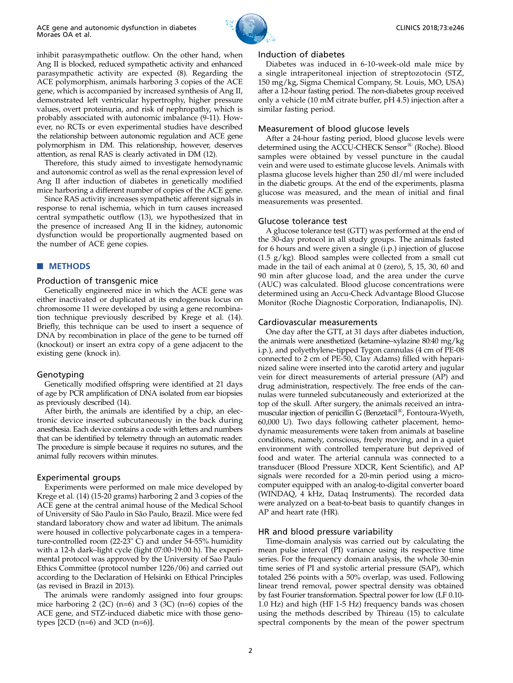

inhibit parasympathetic outflow. On the other hand, when Ang II is blocked, reduced sympathetic activity and enhanced parasympathetic activity are expected (8). Regarding the ACE polymorphism, animals harboring 3 copies of the ACE gene, which is accompanied by increased synthesis of Ang II, demonstrated left ventricular hypertrophy, higher pressure values, overt proteinuria, and risk of nephropathy, which is probably associated with autonomic imbalance (9-11). However, no RCTs or even experimental studies have described the relationship between autonomic regulation and ACE gene polymorphism in DM. This relationship, however, deserves attention, as renal RAS is clearly activated in DM (12).

Therefore, this study aimed to investigate hemodynamic and autonomic control as well as the renal expression level of Ang II after induction of diabetes in genetically modified mice harboring a different number of copies of the ACE gene.

Since RAS activity increases sympathetic afferent signals in response to renal ischemia, which in turn causes increased central sympathetic outflow (13), we hypothesized that in the presence of increased Ang II in the kidney, autonomic dysfunction would be proportionally augmented based on the number of ACE gene copies.

#### **NETHODS**

## Production of transgenic mice

Genetically engineered mice in which the ACE gene was either inactivated or duplicated at its endogenous locus on chromosome 11 were developed by using a gene recombination technique previously described by Krege et al. (14). Briefly, this technique can be used to insert a sequence of DNA by recombination in place of the gene to be turned off (knockout) or insert an extra copy of a gene adjacent to the existing gene (knock in).

#### Genotyping

Genetically modified offspring were identified at 21 days of age by PCR amplification of DNA isolated from ear biopsies as previously described (14).

After birth, the animals are identified by a chip, an electronic device inserted subcutaneously in the back during anesthesia. Each device contains a code with letters and numbers that can be identified by telemetry through an automatic reader. The procedure is simple because it requires no sutures, and the animal fully recovers within minutes.

#### Experimental groups

Experiments were performed on male mice developed by Krege et al. (14) (15-20 grams) harboring 2 and 3 copies of the ACE gene at the central animal house of the Medical School of University of São Paulo in São Paulo, Brazil. Mice were fed standard laboratory chow and water ad libitum. The animals were housed in collective polycarbonate cages in a temperature-controlled room (22-23 $^{\circ}$  C) and under 54-55% humidity with a 12-h dark–light cycle (light 07:00-19:00 h). The experimental protocol was approved by the University of Sao Paulo Ethics Committee (protocol number 1226/06) and carried out according to the Declaration of Helsinki on Ethical Principles (as revised in Brazil in 2013).

The animals were randomly assigned into four groups: mice harboring 2 (2C) (n=6) and 3 (3C) (n=6) copies of the ACE gene, and STZ-induced diabetic mice with those genotypes  $[2CD (n=6)$  and  $3CD (n=6)$ ].

### Induction of diabetes

Diabetes was induced in 6-10-week-old male mice by a single intraperitoneal injection of streptozotocin (STZ, 150 mg/kg, Sigma Chemical Company, St. Louis, MO, USA) after a 12-hour fasting period. The non-diabetes group received only a vehicle (10 mM citrate buffer, pH 4.5) injection after a similar fasting period.

# Measurement of blood glucose levels

After a 24-hour fasting period, blood glucose levels were determined using the ACCU-CHECK Sensor<sup>®</sup> (Roche). Blood samples were obtained by vessel puncture in the caudal vein and were used to estimate glucose levels. Animals with plasma glucose levels higher than 250 dl/ml were included in the diabetic groups. At the end of the experiments, plasma glucose was measured, and the mean of initial and final measurements was presented.

# Glucose tolerance test

A glucose tolerance test (GTT) was performed at the end of the 30-day protocol in all study groups. The animals fasted for 6 hours and were given a single (i.p.) injection of glucose (1.5 g/kg). Blood samples were collected from a small cut made in the tail of each animal at 0 (zero), 5, 15, 30, 60 and 90 min after glucose load, and the area under the curve (AUC) was calculated. Blood glucose concentrations were determined using an Accu-Check Advantage Blood Glucose Monitor (Roche Diagnostic Corporation, Indianapolis, IN).

#### Cardiovascular measurements

One day after the GTT, at 31 days after diabetes induction, the animals were anesthetized (ketamine–xylazine 80:40 mg/kg i.p.), and polyethylene-tipped Tygon cannulas (4 cm of PE-08 connected to 2 cm of PE-50, Clay Adams) filled with heparinized saline were inserted into the carotid artery and jugular vein for direct measurements of arterial pressure (AP) and drug administration, respectively. The free ends of the cannulas were tunneled subcutaneously and exteriorized at the top of the skull. After surgery, the animals received an intramuscular injection of penicillin G (Benzetacil®, Fontoura-Wyeth, 60,000 U). Two days following catheter placement, hemodynamic measurements were taken from animals at baseline conditions, namely, conscious, freely moving, and in a quiet environment with controlled temperature but deprived of food and water. The arterial cannula was connected to a transducer (Blood Pressure XDCR, Kent Scientific), and AP signals were recorded for a 20-min period using a microcomputer equipped with an analog-to-digital converter board (WINDAQ, 4 kHz, Dataq Instruments). The recorded data were analyzed on a beat-to-beat basis to quantify changes in AP and heart rate (HR).

## HR and blood pressure variability

Time-domain analysis was carried out by calculating the mean pulse interval (PI) variance using its respective time series. For the frequency domain analysis, the whole 30-min time series of PI and systolic arterial pressure (SAP), which totaled 256 points with a 50% overlap, was used. Following linear trend removal, power spectral density was obtained by fast Fourier transformation. Spectral power for low (LF 0.10- 1.0 Hz) and high (HF 1-5 Hz) frequency bands was chosen using the methods described by Thireau (15) to calculate spectral components by the mean of the power spectrum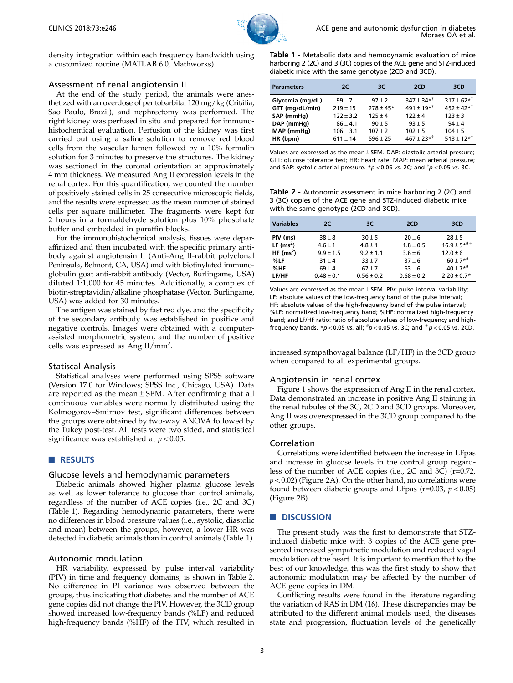density integration within each frequency bandwidth using a customized routine (MATLAB 6.0, Mathworks).

# Assessment of renal angiotensin II

At the end of the study period, the animals were anesthetized with an overdose of pentobarbital 120 mg/kg (Critália, Sao Paulo, Brazil), and nephrectomy was performed. The right kidney was perfused in situ and prepared for immunohistochemical evaluation. Perfusion of the kidney was first carried out using a saline solution to remove red blood cells from the vascular lumen followed by a 10% formalin solution for 3 minutes to preserve the structures. The kidney was sectioned in the coronal orientation at approximately 4 mm thickness. We measured Ang II expression levels in the renal cortex. For this quantification, we counted the number of positively stained cells in 25 consecutive microscopic fields, and the results were expressed as the mean number of stained cells per square millimeter. The fragments were kept for 2 hours in a formaldehyde solution plus 10% phosphate buffer and embedded in paraffin blocks.

For the immunohistochemical analysis, tissues were deparaffinized and then incubated with the specific primary antibody against angiotensin II (Anti-Ang II-rabbit polyclonal Peninsula, Belmont, CA, USA) and with biotinylated immunoglobulin goat anti-rabbit antibody (Vector, Burlingame, USA) diluted 1:1,000 for 45 minutes. Additionally, a complex of biotin-streptavidin/alkaline phosphatase (Vector, Burlingame, USA) was added for 30 minutes.

The antigen was stained by fast red dye, and the specificity of the secondary antibody was established in positive and negative controls. Images were obtained with a computerassisted morphometric system, and the number of positive cells was expressed as Ang II/mm<sup>2</sup>.

## Statiscal Analysis

Statistical analyses were performed using SPSS software (Version 17.0 for Windows; SPSS Inc., Chicago, USA). Data are reported as the mean±SEM. After confirming that all continuous variables were normally distributed using the Kolmogorov–Smirnov test, significant differences between the groups were obtained by two-way ANOVA followed by the Tukey post-test. All tests were two sided, and statistical significance was established at  $p < 0.05$ .

# **RESULTS**

#### Glucose levels and hemodynamic parameters

Diabetic animals showed higher plasma glucose levels as well as lower tolerance to glucose than control animals, regardless of the number of ACE copies (i.e., 2C and 3C) (Table 1). Regarding hemodynamic parameters, there were no differences in blood pressure values (i.e., systolic, diastolic and mean) between the groups; however, a lower HR was detected in diabetic animals than in control animals (Table 1).

## Autonomic modulation

HR variability, expressed by pulse interval variability (PIV) in time and frequency domains, is shown in Table 2. No difference in PI variance was observed between the groups, thus indicating that diabetes and the number of ACE gene copies did not change the PIV. However, the 3CD group showed increased low-frequency bands (%LF) and reduced high-frequency bands (%HF) of the PIV, which resulted in Table 1 - Metabolic data and hemodynamic evaluation of mice harboring 2 (2C) and 3 (3C) copies of the ACE gene and STZ-induced diabetic mice with the same genotype (2CD and 3CD).

| <b>Parameters</b> | 2C            | 3C            | 2CD                         | 3CD                             |
|-------------------|---------------|---------------|-----------------------------|---------------------------------|
| Glycemia (mg/dL)  | $99 \pm 7$    | $97 \pm 2$    | $347 \pm 34$ * <sup>†</sup> | $317 \pm 62$ * <sup>†</sup>     |
| GTT (mg/dL/min)   | $219 \pm 15$  | $278 \pm 45*$ | 491 ± 19* <sup>†</sup>      | $452 \pm 42 \star$ <sup>†</sup> |
| SAP (mmHg)        | $122 \pm 3.2$ | $125 \pm 4$   | $122 \pm 4$                 | $123 \pm 3$                     |
| DAP (mmHq)        | $86 \pm 4.1$  | $90 \pm 5$    | $93 \pm 5$                  | $94 \pm 4$                      |
| MAP (mmHg)        | $106 \pm 3.1$ | $107 + 2$     | $102 + 5$                   | $104 \pm 5$                     |
| HR (bpm)          | $611 \pm 14$  | $596 \pm 25$  | $467 + 23*^{\dagger}$       | $513 \pm 12^{*+}$               |

Values are expressed as the mean  $\pm$  SEM. DAP: diastolic arterial pressure; GTT: glucose tolerance test; HR: heart rate; MAP: mean arterial pressure; and SAP: systolic arterial pressure. \* $p < 0.05$  vs. 2C; and  $p < 0.05$  vs. 3C.

Table 2 - Autonomic assessment in mice harboring 2 (2C) and 3 (3C) copies of the ACE gene and STZ-induced diabetic mice with the same genotype (2CD and 3CD).

| <b>Variables</b> | 2C             | 3C             | 2CD            | 3CD                |
|------------------|----------------|----------------|----------------|--------------------|
| PIV (ms)         | $38 \pm 8$     | $30 \pm 5$     | $20 \pm 6$     | $28 \pm 5$         |
| LF $(ms^2)$      | $4.6 \pm 1$    | $4.8 \pm 1$    | $1.8 \pm 0.5$  | $16.9 \pm 5*^{#+}$ |
| HF $(ms^2)$      | $9.9 \pm 1.5$  | $9.2 \pm 1.1$  | $3.6 \pm 6$    | $12.0 \pm 6$       |
| %LF              | $31 + 4$       | $33 + 7$       | $37 + 6$       | $60 \pm 7*$ #      |
| %HF              | $69 + 4$       | $67 + 7$       | $63 + 6$       | $40 \pm 7*$ #      |
| LF/HF            | $0.48 \pm 0.1$ | $0.56 \pm 0.2$ | $0.68 \pm 0.2$ | $2.20 + 0.7*$      |

Values are expressed as the mean  $\pm$  SEM. PIV: pulse interval variability; LF: absolute values of the low-frequency band of the pulse interval; HF: absolute values of the high-frequency band of the pulse interval; %LF: normalized low-frequency band; %HF: normalized high-frequency band; and LF/HF ratio: ratio of absolute values of low-frequency and highfrequency bands. \* $p < 0.05$  vs. all;  $\#p < 0.05$  vs. 3C; and  $\#p < 0.05$  vs. 2CD.

increased sympathovagal balance (LF/HF) in the 3CD group when compared to all experimental groups.

#### Angiotensin in renal cortex

Figure 1 shows the expression of Ang II in the renal cortex. Data demonstrated an increase in positive Ang II staining in the renal tubules of the 3C, 2CD and 3CD groups. Moreover, Ang II was overexpressed in the 3CD group compared to the other groups.

#### Correlation

Correlations were identified between the increase in LFpas and increase in glucose levels in the control group regardless of the number of ACE copies (i.e., 2C and 3C) (r=0.72,  $p<0.02$ ) (Figure 2A). On the other hand, no correlations were found between diabetic groups and LFpas ( $r=0.03$ ,  $p<0.05$ ) (Figure 2B).

#### **DISCUSSION**

The present study was the first to demonstrate that STZinduced diabetic mice with 3 copies of the ACE gene presented increased sympathetic modulation and reduced vagal modulation of the heart. It is important to mention that to the best of our knowledge, this was the first study to show that autonomic modulation may be affected by the number of ACE gene copies in DM.

Conflicting results were found in the literature regarding the variation of RAS in DM (16). These discrepancies may be attributed to the different animal models used, the diseases state and progression, fluctuation levels of the genetically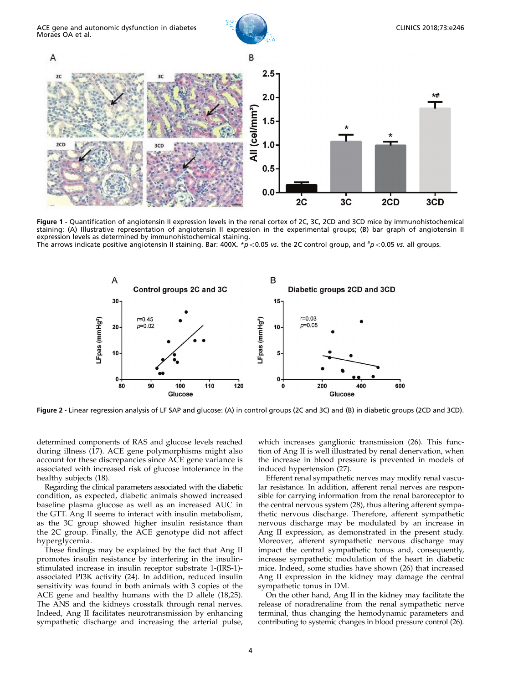

Figure 1 - Quantification of angiotensin II expression levels in the renal cortex of 2C, 3C, 2CD and 3CD mice by immunohistochemical staining: (A) Illustrative representation of angiotensin II expression in the experimental groups; (B) bar graph of angiotensin II expression levels as determined by immunohistochemical staining.

The arrows indicate positive angiotensin II staining. Bar: 400X. \* $\bar{p}$ <0.05 vs. the 2C control group, and  $^{\#}p$ <0.05 vs. all groups.



Figure 2 - Linear regression analysis of LF SAP and glucose: (A) in control groups (2C and 3C) and (B) in diabetic groups (2CD and 3CD).

determined components of RAS and glucose levels reached during illness (17). ACE gene polymorphisms might also account for these discrepancies since ACE gene variance is associated with increased risk of glucose intolerance in the healthy subjects (18).

Regarding the clinical parameters associated with the diabetic condition, as expected, diabetic animals showed increased baseline plasma glucose as well as an increased AUC in the GTT. Ang II seems to interact with insulin metabolism, as the 3C group showed higher insulin resistance than the 2C group. Finally, the ACE genotype did not affect hyperglycemia.

These findings may be explained by the fact that Ang II promotes insulin resistance by interfering in the insulinstimulated increase in insulin receptor substrate 1-(IRS-1) associated PI3K activity (24). In addition, reduced insulin sensitivity was found in both animals with 3 copies of the ACE gene and healthy humans with the D allele (18,25). The ANS and the kidneys crosstalk through renal nerves. Indeed, Ang II facilitates neurotransmission by enhancing sympathetic discharge and increasing the arterial pulse,

which increases ganglionic transmission (26). This function of Ang II is well illustrated by renal denervation, when the increase in blood pressure is prevented in models of induced hypertension (27).

Efferent renal sympathetic nerves may modify renal vascular resistance. In addition, afferent renal nerves are responsible for carrying information from the renal baroreceptor to the central nervous system (28), thus altering afferent sympathetic nervous discharge. Therefore, afferent sympathetic nervous discharge may be modulated by an increase in Ang II expression, as demonstrated in the present study. Moreover, afferent sympathetic nervous discharge may impact the central sympathetic tonus and, consequently, increase sympathetic modulation of the heart in diabetic mice. Indeed, some studies have shown (26) that increased Ang II expression in the kidney may damage the central sympathetic tonus in DM.

On the other hand, Ang II in the kidney may facilitate the release of noradrenaline from the renal sympathetic nerve terminal, thus changing the hemodynamic parameters and contributing to systemic changes in blood pressure control (26).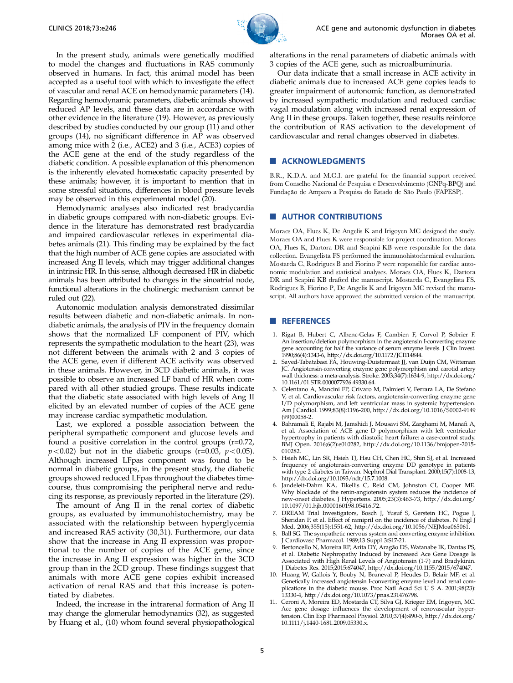

In the present study, animals were genetically modified to model the changes and fluctuations in RAS commonly observed in humans. In fact, this animal model has been accepted as a useful tool with which to investigate the effect of vascular and renal ACE on hemodynamic parameters (14). Regarding hemodynamic parameters, diabetic animals showed reduced AP levels, and these data are in accordance with other evidence in the literature (19). However, as previously described by studies conducted by our group (11) and other groups (14), no significant difference in AP was observed among mice with 2 (i.e., ACE2) and 3 (i.e., ACE3) copies of the ACE gene at the end of the study regardless of the diabetic condition. A possible explanation of this phenomenon is the inherently elevated homeostatic capacity presented by these animals; however, it is important to mention that in some stressful situations, differences in blood pressure levels may be observed in this experimental model (20).

Hemodynamic analyses also indicated rest bradycardia in diabetic groups compared with non-diabetic groups. Evidence in the literature has demonstrated rest bradycardia and impaired cardiovascular reflexes in experimental diabetes animals (21). This finding may be explained by the fact that the high number of ACE gene copies are associated with increased Ang II levels, which may trigger additional changes in intrinsic HR. In this sense, although decreased HR in diabetic animals has been attributed to changes in the sinoatrial node, functional alterations in the cholinergic mechanism cannot be ruled out (22).

Autonomic modulation analysis demonstrated dissimilar results between diabetic and non-diabetic animals. In nondiabetic animals, the analysis of PIV in the frequency domain shows that the normalized LF component of PIV, which represents the sympathetic modulation to the heart (23), was not different between the animals with 2 and 3 copies of the ACE gene, even if different ACE activity was observed in these animals. However, in 3CD diabetic animals, it was possible to observe an increased LF band of HR when compared with all other studied groups. These results indicate that the diabetic state associated with high levels of Ang II elicited by an elevated number of copies of the ACE gene may increase cardiac sympathetic modulation.

Last, we explored a possible association between the peripheral sympathetic component and glucose levels and found a positive correlation in the control groups (r=0.72,  $p<0.02$ ) but not in the diabetic groups (r=0.03,  $p<0.05$ ). Although increased LFpas component was found to be normal in diabetic groups, in the present study, the diabetic groups showed reduced LFpas throughout the diabetes timecourse, thus compromising the peripheral nerve and reducing its response, as previously reported in the literature (29).

The amount of Ang II in the renal cortex of diabetic groups, as evaluated by immunohistochemistry, may be associated with the relationship between hyperglycemia and increased RAS activity (30,31). Furthermore, our data show that the increase in Ang II expression was proportional to the number of copies of the ACE gene, since the increase in Ang II expression was higher in the 3CD group than in the 2CD group. These findings suggest that animals with more ACE gene copies exhibit increased activation of renal RAS and that this increase is potentiated by diabetes.

Indeed, the increase in the intrarenal formation of Ang II may change the glomerular hemodynamics (32), as suggested by Huang et al., (10) whom found several physiopathological alterations in the renal parameters of diabetic animals with 3 copies of the ACE gene, such as microalbuminuria.

Our data indicate that a small increase in ACE activity in diabetic animals due to increased ACE gene copies leads to greater impairment of autonomic function, as demonstrated by increased sympathetic modulation and reduced cardiac vagal modulation along with increased renal expression of Ang II in these groups. Taken together, these results reinforce the contribution of RAS activation to the development of cardiovascular and renal changes observed in diabetes.

## **ACKNOWLEDGMENTS**

B.R., K.D.A. and M.C.I. are grateful for the financial support received from Conselho Nacional de Pesquisa e Desenvolvimento (CNPq-BPQ) and Fundac¸ão de Amparo a Pesquisa do Estado de São Paulo (FAPESP).

## **NUTHOR CONTRIBUTIONS**

Moraes OA, Flues K, De Angelis K and Irigoyen MC designed the study. Moraes OA and Flues K were responsible for project coordination. Moraes OA, Flues K, Dartora DR and Scapini KB were responsible for the data collection. Evangelista FS performed the immunohistochemical evaluation. Mostarda C, Rodrigues B and Fiorino P were responsible for cardiac autonomic modulation and statistical analyses. Moraes OA, Flues K, Dartora DR and Scapini KB drafted the manuscript. Mostarda C, Evangelista FS, Rodrigues B, Fiorino P, De Angelis K and Irigoyen MC revised the manuscript. All authors have approved the submitted version of the manuscript.

#### **REFERENCES**

- 1. Rigat B, Hubert C, Alhenc-Gelas F, Cambien F, Corvol P, Sobrier F. An insertion/deletion polymorphism in the angiotensin I-converting enzyme gene accounting for half the variance of serum enzyme levels. J Clin Invest. 1990;86(4):1343-6,<http://dx.doi.org/10.1172/JCI114844>.
- Sayed-Tabatabaei FA, Houwing-Duistermaat JJ, van Duijn CM, Witteman JC. Angiotensin-converting enzyme gene polymorphism and carotid artery wall thickness: a meta-analysis. Stroke. 2003;34(7):1634-9, [http://dx.doi.org/](http://dx.doi.org/10.1161/01.STR.0000077926.49330.64) [10.1161/01.STR.0000077926.49330.64.](http://dx.doi.org/10.1161/01.STR.0000077926.49330.64)
- 3. Celentano A, Mancini FP, Crivaro M, Palmieri V, Ferrara LA, De Stefano V, et al. Cardiovascular risk factors, angiotensin-converting enzyme gene I/D polymorphism, and left ventricular mass in systemic hypertension. Am J Cardiol. 1999;83(8):1196-200, [http://dx.doi.org/10.1016/S0002-9149](http://dx.doi.org/10.1016/S0002-9149(99)00058-2) [\(99\)00058-2.](http://dx.doi.org/10.1016/S0002-9149(99)00058-2)
- 4. Bahramali E, Rajabi M, Jamshidi J, Mousavi SM, Zarghami M, Manafi A, et al. Association of ACE gene D polymorphism with left ventricular hypertrophy in patients with diastolic heart failure: a case-control study. BMJ Open. 2016;6(2):e010282, [http://dx.doi.org/10.1136/bmjopen-2015-](http://dx.doi.org/10.1136/bmjopen-2015-010282) [010282.](http://dx.doi.org/10.1136/bmjopen-2015-010282)
- 5. Hsieh MC, Lin SR, Hsieh TJ, Hsu CH, Chen HC, Shin SJ, et al. Increased frequency of angiotensin-converting enzyme DD genotype in patients with type 2 diabetes in Taiwan. Nephrol Dial Transplant. 2000;15(7):1008-13, [http://dx.doi.org/10.1093/ndt/15.7.1008.](http://dx.doi.org/10.1093/ndt/15.7.1008)
- Jandeleit-Dahm KA, Tikellis C, Reid CM, Johnston CI, Cooper ME. Why blockade of the renin-angiotensin system reduces the incidence of new-onset diabetes. J Hypertens. 2005;23(3):463-73, [http://dx.doi.org/](http://dx.doi.org/10.1097/01.hjh.0000160198.05416.72) [10.1097/01.hjh.0000160198.05416.72](http://dx.doi.org/10.1097/01.hjh.0000160198.05416.72).
- 7. DREAM Trial Investigators, Bosch J, Yusuf S, Gerstein HC, Pogue J, Sheridan P, et al. Effect of ramipril on the incidence of diabetes. N Engl J Med. 2006;355(15):1551-62,<http://dx.doi.org/10.1056/NEJMoa065061>.
- Ball SG. The sympathetic nervous system and converting enzyme inhibition. J Cardiovasc Pharmacol. 1989;13 Suppl 3:S17-21.
- 9. Bertoncello N, Moreira RP, Arita DY, Aragão DS, Watanabe IK, Dantas PS, et al. Diabetic Nephropathy Induced by Increased Ace Gene Dosage Is Associated with High Renal Levels of Angiotensin (1-7) and Bradykinin. J Diabetes Res. 2015;2015:674047, [http://dx.doi.org/10.1155/2015/674047.](http://dx.doi.org/10.1155/2015/674047)
- 10. Huang W, Gallois Y, Bouby N, Bruneval P, Heudes D, Belair MF, et al. Genetically increased angiotensin I-converting enzyme level and renal complications in the diabetic mouse. Proc Natl Acad Sci U S A. 2001;98(23): 13330-4,<http://dx.doi.org/10.1073/pnas.231476798>.
- 11. Ceroni A, Moreira ED, Mostarda CT, Silva GJ, Krieger EM, Irigoyen, MC. Ace gene dosage influences the development of renovascular hypertension. Clin Exp Pharmacol Physiol. 2010;37(4):490-5, [http://dx.doi.org/](http://dx.doi.org/10.1111/j.1440-1681.2009.05330.x) [10.1111/j.1440-1681.2009.05330.x](http://dx.doi.org/10.1111/j.1440-1681.2009.05330.x).